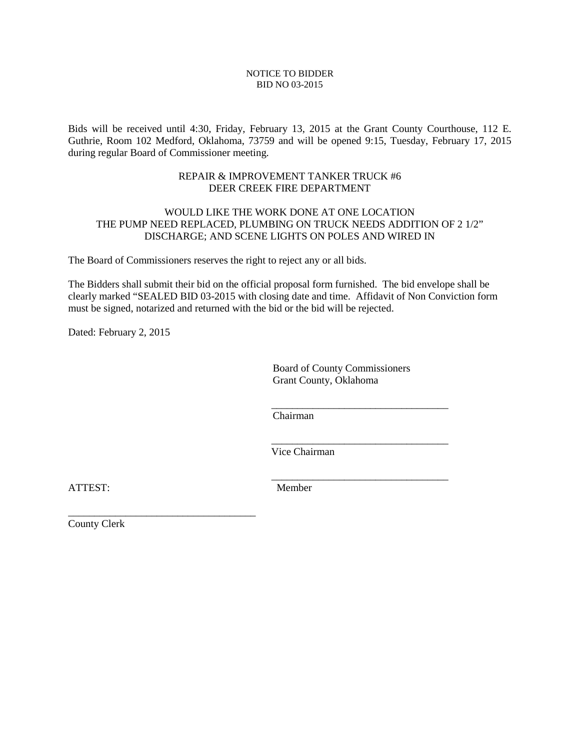#### NOTICE TO BIDDER BID NO 03-2015

Bids will be received until 4:30, Friday, February 13, 2015 at the Grant County Courthouse, 112 E. Guthrie, Room 102 Medford, Oklahoma, 73759 and will be opened 9:15, Tuesday, February 17, 2015 during regular Board of Commissioner meeting.

#### REPAIR & IMPROVEMENT TANKER TRUCK #6 DEER CREEK FIRE DEPARTMENT

## WOULD LIKE THE WORK DONE AT ONE LOCATION THE PUMP NEED REPLACED, PLUMBING ON TRUCK NEEDS ADDITION OF 2 1/2" DISCHARGE; AND SCENE LIGHTS ON POLES AND WIRED IN

The Board of Commissioners reserves the right to reject any or all bids.

The Bidders shall submit their bid on the official proposal form furnished. The bid envelope shall be clearly marked "SEALED BID 03-2015 with closing date and time. Affidavit of Non Conviction form must be signed, notarized and returned with the bid or the bid will be rejected.

Dated: February 2, 2015

Board of County Commissioners Grant County, Oklahoma

Chairman

 $\overline{\phantom{a}}$  , and the contract of the contract of the contract of the contract of the contract of the contract of the contract of the contract of the contract of the contract of the contract of the contract of the contrac

 $\overline{\phantom{a}}$  , and the contract of the contract of the contract of the contract of the contract of the contract of the contract of the contract of the contract of the contract of the contract of the contract of the contrac

 $\overline{\phantom{a}}$  , and the contract of the contract of the contract of the contract of the contract of the contract of the contract of the contract of the contract of the contract of the contract of the contract of the contrac

Vice Chairman

ATTEST: Member

County Clerk

\_\_\_\_\_\_\_\_\_\_\_\_\_\_\_\_\_\_\_\_\_\_\_\_\_\_\_\_\_\_\_\_\_\_\_\_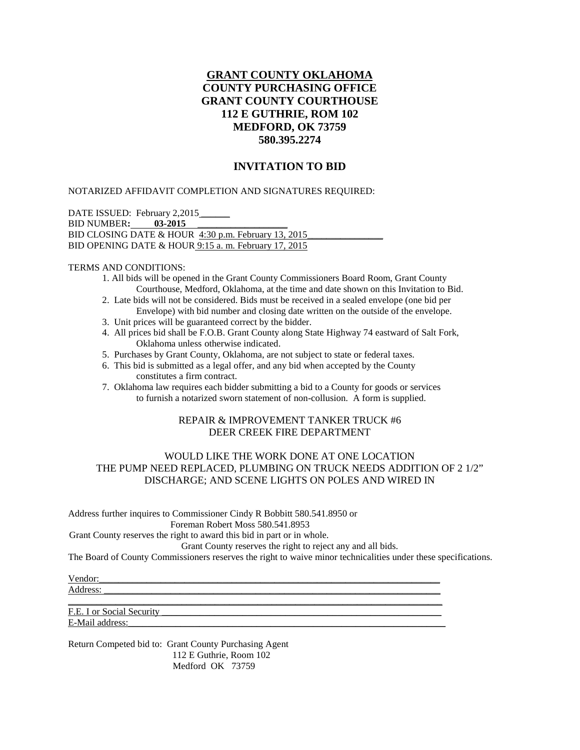# **GRANT COUNTY OKLAHOMA COUNTY PURCHASING OFFICE GRANT COUNTY COURTHOUSE 112 E GUTHRIE, ROM 102 MEDFORD, OK 73759 580.395.2274**

## **INVITATION TO BID**

NOTARIZED AFFIDAVIT COMPLETION AND SIGNATURES REQUIRED:

DATE ISSUED: February 2,2015 BID NUMBER**: 03-2015** \_\_\_\_\_\_\_\_\_\_\_\_\_\_\_\_\_\_\_ BID CLOSING DATE & HOUR  $4:30$  p.m. February 13, 2015 BID OPENING DATE & HOUR 9:15 a. m. February 17, 2015

#### TERMS AND CONDITIONS:

- 1. All bids will be opened in the Grant County Commissioners Board Room, Grant County Courthouse, Medford, Oklahoma, at the time and date shown on this Invitation to Bid.
- 2. Late bids will not be considered. Bids must be received in a sealed envelope (one bid per Envelope) with bid number and closing date written on the outside of the envelope.
- 3. Unit prices will be guaranteed correct by the bidder.
- 4. All prices bid shall be F.O.B. Grant County along State Highway 74 eastward of Salt Fork, Oklahoma unless otherwise indicated.
- 5. Purchases by Grant County, Oklahoma, are not subject to state or federal taxes.
- 6. This bid is submitted as a legal offer, and any bid when accepted by the County constitutes a firm contract.
- 7. Oklahoma law requires each bidder submitting a bid to a County for goods or services to furnish a notarized sworn statement of non-collusion. A form is supplied.

## REPAIR & IMPROVEMENT TANKER TRUCK #6 DEER CREEK FIRE DEPARTMENT

## WOULD LIKE THE WORK DONE AT ONE LOCATION THE PUMP NEED REPLACED, PLUMBING ON TRUCK NEEDS ADDITION OF 2 1/2" DISCHARGE; AND SCENE LIGHTS ON POLES AND WIRED IN

Address further inquires to Commissioner Cindy R Bobbitt 580.541.8950 or

Foreman Robert Moss 580.541.8953

Grant County reserves the right to award this bid in part or in whole.

Grant County reserves the right to reject any and all bids.

The Board of County Commissioners reserves the right to waive minor technicalities under these specifications.

Vendor:\_\_\_\_\_\_\_\_\_\_\_\_\_\_\_\_\_\_\_\_\_\_\_\_\_\_\_\_\_\_\_\_\_\_\_\_\_\_\_\_\_\_\_\_\_\_\_\_\_\_\_\_\_\_\_\_\_\_\_\_\_\_\_\_\_\_\_\_\_\_\_\_ Address: \_\_\_\_\_\_\_\_\_\_\_\_\_\_\_\_\_\_\_\_\_\_\_\_\_\_\_\_\_\_\_\_\_\_\_\_\_\_\_\_\_\_\_\_\_\_\_\_\_\_\_\_\_\_\_\_\_\_\_\_\_\_\_\_\_\_\_\_\_\_\_

\_\_\_\_\_\_\_\_\_\_\_\_\_\_\_\_\_\_\_\_\_\_\_\_\_\_\_\_\_\_\_\_\_\_\_\_\_\_\_\_\_\_\_\_\_\_\_\_\_\_\_\_\_\_\_\_\_\_\_\_\_\_\_\_\_\_\_\_\_\_\_\_\_\_\_\_\_\_\_ F.E. I or Social Security E-Mail address:

Return Competed bid to: Grant County Purchasing Agent 112 E Guthrie, Room 102 Medford OK 73759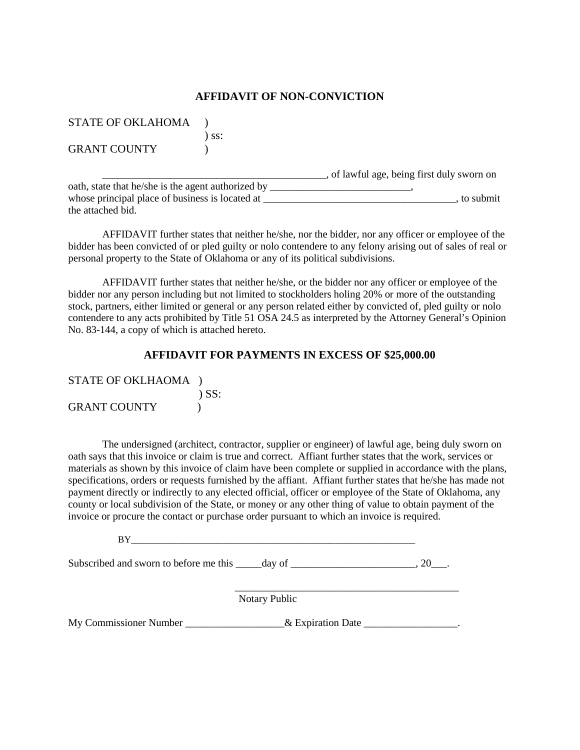## **AFFIDAVIT OF NON-CONVICTION**

| <b>STATE OF OKLAHOMA</b> |  |
|--------------------------|--|
|--------------------------|--|

) ss:

GRANT COUNTY (1)

\_\_\_\_\_\_\_\_\_\_\_\_\_\_\_\_\_\_\_\_\_\_\_\_\_\_\_\_\_\_\_\_\_\_\_\_\_\_\_\_\_\_\_, of lawful age, being first duly sworn on oath, state that he/she is the agent authorized by \_\_\_\_\_\_\_\_\_\_\_\_\_\_\_\_\_\_\_\_\_\_\_\_\_, whose principal place of business is located at \_\_\_\_\_\_\_\_\_\_\_\_\_\_\_\_\_\_\_\_\_\_\_\_\_\_\_\_\_\_\_\_\_\_\_\_\_, to submit the attached bid.

AFFIDAVIT further states that neither he/she, nor the bidder, nor any officer or employee of the bidder has been convicted of or pled guilty or nolo contendere to any felony arising out of sales of real or personal property to the State of Oklahoma or any of its political subdivisions.

AFFIDAVIT further states that neither he/she, or the bidder nor any officer or employee of the bidder nor any person including but not limited to stockholders holing 20% or more of the outstanding stock, partners, either limited or general or any person related either by convicted of, pled guilty or nolo contendere to any acts prohibited by Title 51 OSA 24.5 as interpreted by the Attorney General's Opinion No. 83-144, a copy of which is attached hereto.

## **AFFIDAVIT FOR PAYMENTS IN EXCESS OF \$25,000.00**

| STATE OF OKLHAOMA ) |            |
|---------------------|------------|
|                     | $\sum$ SS: |
| <b>GRANT COUNTY</b> |            |

The undersigned (architect, contractor, supplier or engineer) of lawful age, being duly sworn on oath says that this invoice or claim is true and correct. Affiant further states that the work, services or materials as shown by this invoice of claim have been complete or supplied in accordance with the plans, specifications, orders or requests furnished by the affiant. Affiant further states that he/she has made not payment directly or indirectly to any elected official, officer or employee of the State of Oklahoma, any county or local subdivision of the State, or money or any other thing of value to obtain payment of the invoice or procure the contact or purchase order pursuant to which an invoice is required.

 $BY$ 

Subscribed and sworn to before me this \_\_\_\_\_day of \_\_\_\_\_\_\_\_\_\_\_\_\_\_\_\_\_\_\_\_\_, 20\_\_\_.

 $\overline{\phantom{a}}$  ,  $\overline{\phantom{a}}$  ,  $\overline{\phantom{a}}$  ,  $\overline{\phantom{a}}$  ,  $\overline{\phantom{a}}$  ,  $\overline{\phantom{a}}$  ,  $\overline{\phantom{a}}$  ,  $\overline{\phantom{a}}$  ,  $\overline{\phantom{a}}$  ,  $\overline{\phantom{a}}$  ,  $\overline{\phantom{a}}$  ,  $\overline{\phantom{a}}$  ,  $\overline{\phantom{a}}$  ,  $\overline{\phantom{a}}$  ,  $\overline{\phantom{a}}$  ,  $\overline{\phantom{a}}$ Notary Public

My Commissioner Number \_\_\_\_\_\_\_\_\_\_\_\_\_\_\_\_\_\_\_\_& Expiration Date \_\_\_\_\_\_\_\_\_\_\_\_\_\_\_\_\_\_.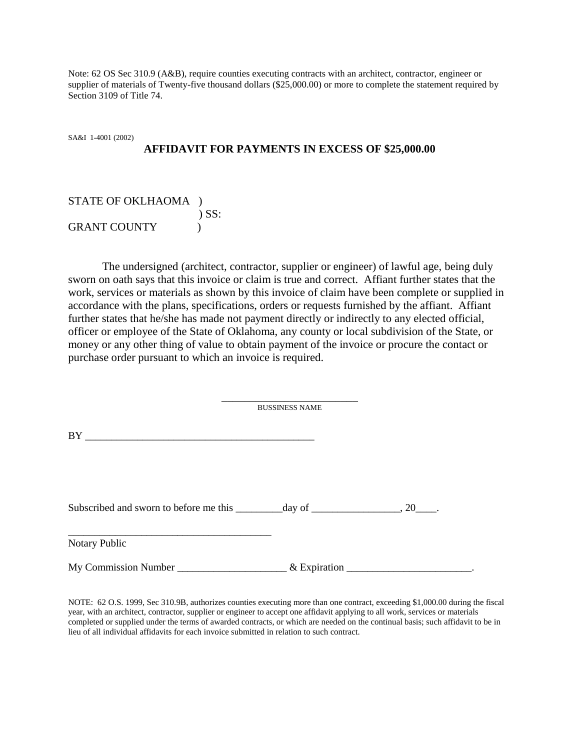Note: 62 OS Sec 310.9 (A&B), require counties executing contracts with an architect, contractor, engineer or supplier of materials of Twenty-five thousand dollars (\$25,000.00) or more to complete the statement required by Section 3109 of Title 74.

SA&I 1-4001 (2002) **AFFIDAVIT FOR PAYMENTS IN EXCESS OF \$25,000.00**

| STATE OF OKLHAOMA ) |            |
|---------------------|------------|
|                     | $\sum$ SS: |
| <b>GRANT COUNTY</b> |            |

The undersigned (architect, contractor, supplier or engineer) of lawful age, being duly sworn on oath says that this invoice or claim is true and correct. Affiant further states that the work, services or materials as shown by this invoice of claim have been complete or supplied in accordance with the plans, specifications, orders or requests furnished by the affiant. Affiant further states that he/she has made not payment directly or indirectly to any elected official, officer or employee of the State of Oklahoma, any county or local subdivision of the State, or money or any other thing of value to obtain payment of the invoice or procure the contact or purchase order pursuant to which an invoice is required.

\_\_\_\_\_\_\_\_\_\_\_\_\_\_\_\_\_\_\_\_\_\_\_\_

|                                                                                   | <b>BUSSINESS NAME</b> |  |
|-----------------------------------------------------------------------------------|-----------------------|--|
| BY<br><u> 1989 - Johann Barbara, markazar margolaria (h. 1989).</u>               |                       |  |
|                                                                                   |                       |  |
| <u> 1989 - Johann John Stone, Amerikaansk politiker (* 1905)</u><br>Notary Public |                       |  |
| My Commission Number                                                              | $&$ Expiration        |  |

NOTE: 62 O.S. 1999, Sec 310.9B, authorizes counties executing more than one contract, exceeding \$1,000.00 during the fiscal year, with an architect, contractor, supplier or engineer to accept one affidavit applying to all work, services or materials completed or supplied under the terms of awarded contracts, or which are needed on the continual basis; such affidavit to be in lieu of all individual affidavits for each invoice submitted in relation to such contract.